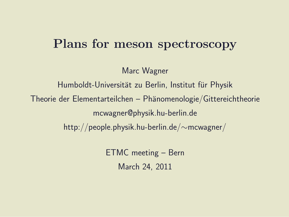#### Plans for meson spectroscopy

Marc Wagner

Humboldt-Universität zu Berlin, Institut für Physik Theorie der Elementarteilchen – Phänomenologie/Gittereichtheorie mcwagner@physik.hu-berlin.de http://people.physik.hu-berlin.de/∼mcwagner/

> ETMC meeting – Bern March 24, 2011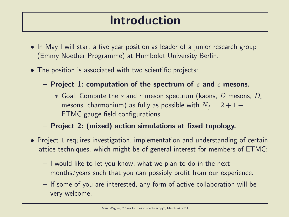#### Introduction

- In May I will start a five year position as leader of a junior research group (Emmy Noether Programme) at Humboldt University Berlin.
- The position is associated with two scientific projects:
	- Project 1: computation of the spectrum of s and c mesons.
		- $*$  Goal: Compute the s and c meson spectrum (kaons, D mesons,  $D_s$ mesons, charmonium) as fully as possible with  $N_f = 2 + 1 + 1$ ETMC gauge field configurations.
	- Project 2: (mixed) action simulations at fixed topology.
- Project 1 requires investigation, implementation and understanding of certain lattice techniques, which might be of general interest for members of ETMC:
	- I would like to let you know, what we plan to do in the next months/years such that you can possibly profit from our experience.
	- If some of you are interested, any form of active collaboration will be very welcome.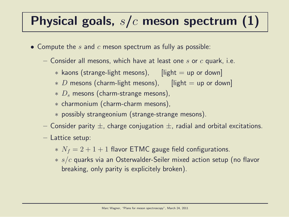# Physical goals,  $s/c$  meson spectrum (1)

- Compute the  $s$  and  $c$  meson spectrum as fully as possible:
	- Consider all mesons, which have at least one s or  $c$  quark, i.e.
		- $*$  kaons (strange-light mesons),  $[light = up or down]$
		- $\ast$  D mesons (charm-light mesons), [light = up or down]
		- $*$  D<sub>s</sub> mesons (charm-strange mesons),
		- ∗ charmonium (charm-charm mesons),
		- ∗ possibly strangeonium (strange-strange mesons).
	- Consider parity  $\pm$ , charge conjugation  $\pm$ , radial and orbital excitations.
	- Lattice setup:
		- $* N_f = 2 + 1 + 1$  flavor ETMC gauge field configurations.
		- $* s/c$  quarks via an Osterwalder-Seiler mixed action setup (no flavor breaking, only parity is explicitely broken).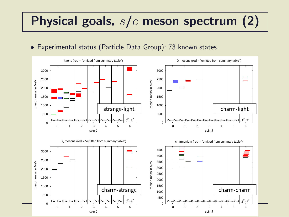#### Physical goals, s/c meson spectrum (2)

• Experimental status (Particle Data Group): 73 known states.

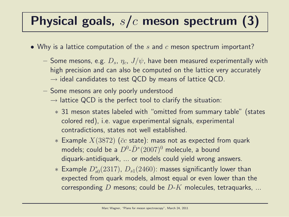## Physical goals,  $s/c$  meson spectrum (3)

- Why is a lattice computation of the s and c meson spectrum important?
	- $-$  Some mesons, e.g.  $D_s$ ,  $\eta_c$ ,  $J/\psi$ , have been measured experimentally with high precision and can also be computed on the lattice very accurately  $\rightarrow$  ideal candidates to test QCD by means of lattice QCD.
	- Some mesons are only poorly understood
		- $\rightarrow$  lattice QCD is the perfect tool to clarify the situation:
			- ∗ 31 meson states labeled with "omitted from summary table" (states colored red), i.e. vague experimental signals, experimental contradictions, states not well established.
			- $*$  Example  $X(3872)$  ( $\bar{c}c$  state): mass not as expected from quark models; could be a  $D^0$ - $\bar{D}^*(2007)^0$  molecule, a bound diquark-antidiquark, ... or models could yield wrong answers.
			- $*$  Example  $D_{s0}^*(2317)$ ,  $D_{s1}(2460)$ : masses significantly lower than expected from quark models, almost equal or even lower than the corresponding D mesons; could be  $D-K$  molecules, tetraquarks, ...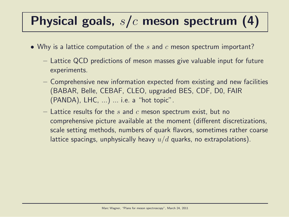# Physical goals,  $s/c$  meson spectrum (4)

- Why is a lattice computation of the s and c meson spectrum important?
	- Lattice QCD predictions of meson masses give valuable input for future experiments.
	- Comprehensive new information expected from existing and new facilities (BABAR, Belle, CEBAF, CLEO, upgraded BES, CDF, D0, FAIR  $(PANDA)$ , LHC, ...) ... i.e. a "hot topic".
	- Lattice results for the  $s$  and  $c$  meson spectrum exist, but no comprehensive picture available at the moment (different discretizations, scale setting methods, numbers of quark flavors, sometimes rather coarse lattice spacings, unphysically heavy  $u/d$  quarks, no extrapolations).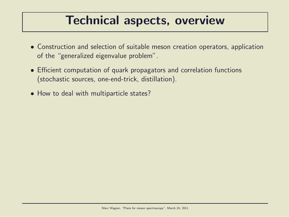#### Technical aspects, overview

- Construction and selection of suitable meson creation operators, application of the "generalized eigenvalue problem".
- Efficient computation of quark propagators and correlation functions (stochastic sources, one-end-trick, distillation).
- How to deal with multiparticle states?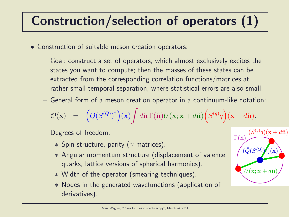# Construction/selection of operators (1)

- Construction of suitable meson creation operators:
	- Goal: construct a set of operators, which almost exclusively excites the states you want to compute; then the masses of these states can be extracted from the corresponding correlation functions/matrices at rather small temporal separation, where statistical errors are also small.
	- General form of a meson creation operator in a continuum-like notation:

$$
\mathcal{O}(\mathbf{x}) = \left( \bar{Q}(S^{(Q)})^{\dagger} \right) (\mathbf{x}) \int d\hat{\mathbf{n}} \Gamma(\hat{\mathbf{n}}) U(\mathbf{x}; \mathbf{x} + d\hat{\mathbf{n}}) \Big( S^{(q)} q \Big) (\mathbf{x} + d\hat{\mathbf{n}}).
$$

- Degrees of freedom:
	- $*$  Spin structure, parity ( $\gamma$  matrices).
	- ∗ Angular momentum structure (displacement of valence quarks, lattice versions of spherical harmonics).
	- ∗ Width of the operator (smearing techniques).
	- ∗ Nodes in the generated wavefunctions (application of derivatives).

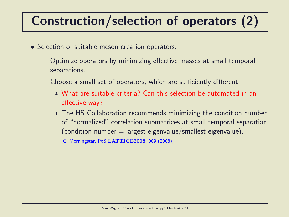# Construction/selection of operators (2)

- Selection of suitable meson creation operators:
	- Optimize operators by minimizing effective masses at small temporal separations.
	- Choose a small set of operators, which are sufficiently different:
		- ∗ What are suitable criteria? Can this selection be automated in an effective way?
		- ∗ The HS Collaboration recommends minimizing the condition number of "normalized" correlation submatrices at small temporal separation  $($ condition number = largest eigenvalue/smallest eigenvalue).

[C. Morningstar, PoS LATTICE2008, 009 (2008)]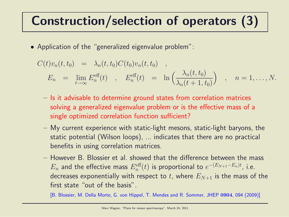# Construction/selection of operators (3)

• Application of the "generalized eigenvalue problem":

$$
C(t)v_n(t, t_0) = \lambda_n(t, t_0)C(t_0)v_n(t, t_0) ,
$$
  
\n
$$
E_n = \lim_{t \to \infty} E_n^{\text{eff}}(t) , E_n^{\text{eff}}(t) = \ln \left( \frac{\lambda_n(t, t_0)}{\lambda_n(t + 1, t_0)} \right) , n = 1, ..., N.
$$

- Is it advisable to determine ground states from correlation matrices solving a generalized eigenvalue problem or is the effective mass of a single optimized correlation function sufficient?
- My current experience with static-light mesons, static-light baryons, the static potential (Wilson loops), ... indicates that there are no practical benefits in using correlation matrices.
- However B. Blossier et al. showed that the difference between the mass  $E_n$  and the effective mass  $E_n^{\rm eff}(t)$  is proportional to  $e^{-(E_{N+1}-E_n)t}$ , i.e. decreases exponentially with respect to t, where  $E_{N+1}$  is the mass of the first state "out of the basis".

[B. Blossier, M. Della Morte, G. von Hippel, T. Mendes and R. Sommer, JHEP 0904, 094 (2009)]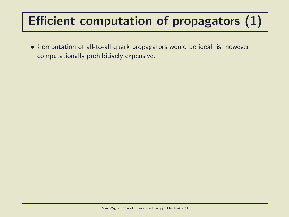# Efficient computation of propagators (1)

• Computation of all-to-all quark propagators would be ideal, is, however, computationally prohibitively expensive.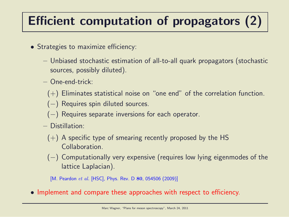# Efficient computation of propagators (2)

- Strategies to maximize efficiency:
	- Unbiased stochastic estimation of all-to-all quark propagators (stochastic sources, possibly diluted).
	- One-end-trick:
		- $(+)$  Eliminates statistical noise on "one end" of the correlation function.
		- (−) Requires spin diluted sources.
		- $(-)$  Requires separate inversions for each operator.
	- Distillation:
		- $(+)$  A specific type of smearing recently proposed by the HS Collaboration.
		- (−) Computationally very expensive (requires low lying eigenmodes of the lattice Laplacian).
		- [M. Peardon et al. [HSC], Phys. Rev. D 80, 054506 (2009)]
- Implement and compare these approaches with respect to efficiency.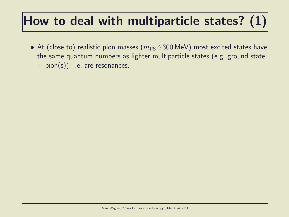# How to deal with multiparticle states?  $(1)$

 $\bullet$  At (close to) realistic pion masses  $(m_\mathrm{PS}\!\lesssim\!300\,\text{MeV})$  most excited states have the same quantum numbers as lighter multiparticle states (e.g. ground state  $+$  pion(s)), i.e. are resonances.